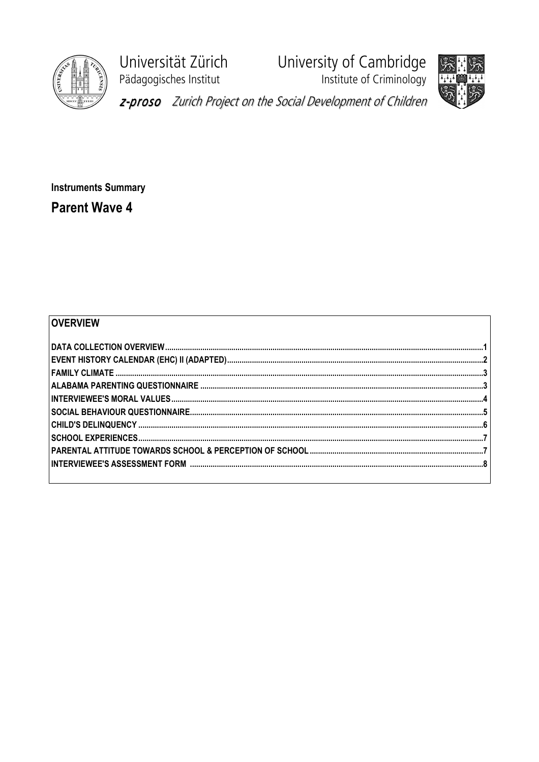

Universität Zürich Pädagogisches Institut

University of Cambridge<br>Institute of Criminology



z-proso Zurich Project on the Social Development of Children

**Instruments Summary Parent Wave 4** 

## OVERVIEW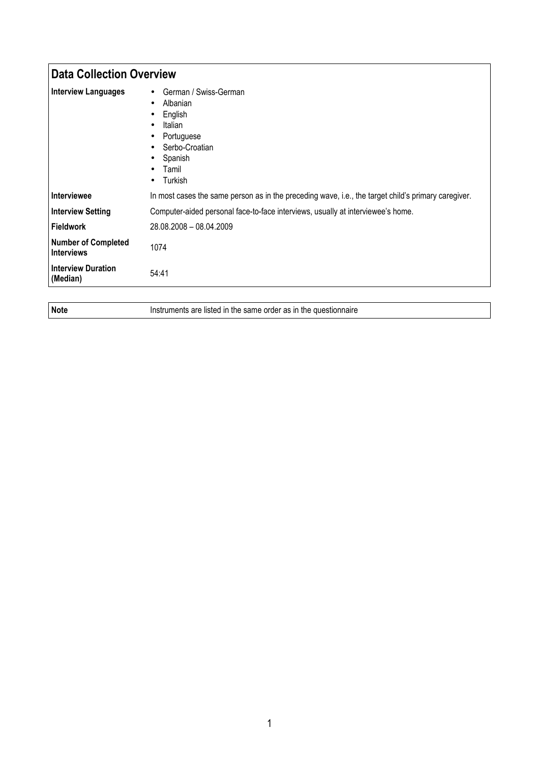| <b>Data Collection Overview</b>                 |                                                                                                                                                                                                                             |
|-------------------------------------------------|-----------------------------------------------------------------------------------------------------------------------------------------------------------------------------------------------------------------------------|
| <b>Interview Languages</b>                      | German / Swiss-German<br>$\bullet$<br>Albanian<br>$\bullet$<br>English<br>$\bullet$<br>Italian<br>$\bullet$<br>Portuguese<br>٠<br>Serbo-Croatian<br>$\bullet$<br>Spanish<br>٠<br>Tamil<br>$\bullet$<br>Turkish<br>$\bullet$ |
| Interviewee                                     | In most cases the same person as in the preceding wave, i.e., the target child's primary caregiver.                                                                                                                         |
| <b>Interview Setting</b>                        | Computer-aided personal face-to-face interviews, usually at interviewee's home.                                                                                                                                             |
| Fieldwork                                       | 28.08.2008 - 08.04.2009                                                                                                                                                                                                     |
| <b>Number of Completed</b><br><b>Interviews</b> | 1074                                                                                                                                                                                                                        |
| <b>Interview Duration</b><br>(Median)           | 54:41                                                                                                                                                                                                                       |

Note **Instruments are listed in the same order as in the questionnaire**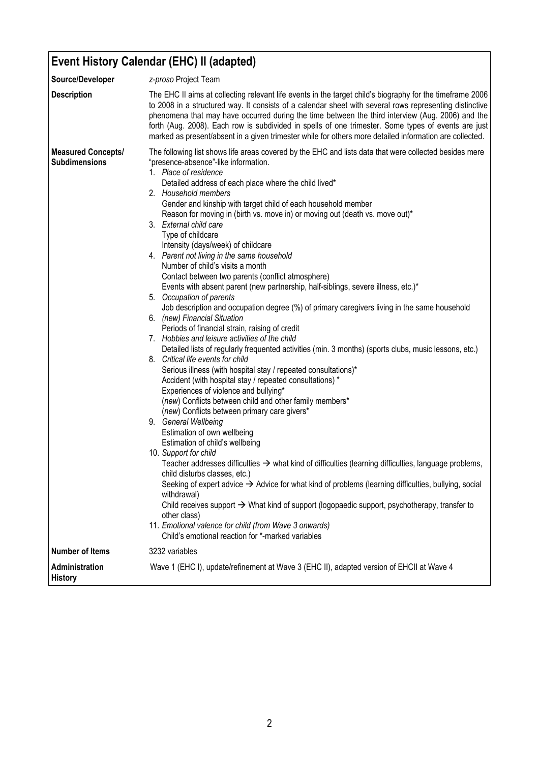## Event History Calendar (EHC) II (adapted)

| Source/Developer                                  | z-proso Project Team                                                                                                                                                                                                                                                                                                                                                                                                                                                                                                                                                                                                                                                                                                                                                                                                                                                                                                                                                                                                                                                                                                                                                                                                                                                                                                                                                                                                                                                                                                                                                                                                                                                                                                                                                                                                                                                                                                                                                                                                                                                              |
|---------------------------------------------------|-----------------------------------------------------------------------------------------------------------------------------------------------------------------------------------------------------------------------------------------------------------------------------------------------------------------------------------------------------------------------------------------------------------------------------------------------------------------------------------------------------------------------------------------------------------------------------------------------------------------------------------------------------------------------------------------------------------------------------------------------------------------------------------------------------------------------------------------------------------------------------------------------------------------------------------------------------------------------------------------------------------------------------------------------------------------------------------------------------------------------------------------------------------------------------------------------------------------------------------------------------------------------------------------------------------------------------------------------------------------------------------------------------------------------------------------------------------------------------------------------------------------------------------------------------------------------------------------------------------------------------------------------------------------------------------------------------------------------------------------------------------------------------------------------------------------------------------------------------------------------------------------------------------------------------------------------------------------------------------------------------------------------------------------------------------------------------------|
| <b>Description</b>                                | The EHC II aims at collecting relevant life events in the target child's biography for the timeframe 2006<br>to 2008 in a structured way. It consists of a calendar sheet with several rows representing distinctive<br>phenomena that may have occurred during the time between the third interview (Aug. 2006) and the<br>forth (Aug. 2008). Each row is subdivided in spells of one trimester. Some types of events are just<br>marked as present/absent in a given trimester while for others more detailed information are collected.                                                                                                                                                                                                                                                                                                                                                                                                                                                                                                                                                                                                                                                                                                                                                                                                                                                                                                                                                                                                                                                                                                                                                                                                                                                                                                                                                                                                                                                                                                                                        |
| <b>Measured Concepts/</b><br><b>Subdimensions</b> | The following list shows life areas covered by the EHC and lists data that were collected besides mere<br>"presence-absence"-like information.<br>1. Place of residence<br>Detailed address of each place where the child lived*<br>2. Household members<br>Gender and kinship with target child of each household member<br>Reason for moving in (birth vs. move in) or moving out (death vs. move out)*<br>3. External child care<br>Type of childcare<br>Intensity (days/week) of childcare<br>4. Parent not living in the same household<br>Number of child's visits a month<br>Contact between two parents (conflict atmosphere)<br>Events with absent parent (new partnership, half-siblings, severe illness, etc.)*<br>5. Occupation of parents<br>Job description and occupation degree (%) of primary caregivers living in the same household<br>6. (new) Financial Situation<br>Periods of financial strain, raising of credit<br>7. Hobbies and leisure activities of the child<br>Detailed lists of regularly frequented activities (min. 3 months) (sports clubs, music lessons, etc.)<br>8. Critical life events for child<br>Serious illness (with hospital stay / repeated consultations)*<br>Accident (with hospital stay / repeated consultations) *<br>Experiences of violence and bullying*<br>(new) Conflicts between child and other family members*<br>(new) Conflicts between primary care givers*<br>9. General Wellbeing<br>Estimation of own wellbeing<br>Estimation of child's wellbeing<br>10. Support for child<br>Teacher addresses difficulties $\rightarrow$ what kind of difficulties (learning difficulties, language problems,<br>child disturbs classes, etc.)<br>Seeking of expert advice $\rightarrow$ Advice for what kind of problems (learning difficulties, bullying, social<br>withdrawal)<br>Child receives support $\rightarrow$ What kind of support (logopaedic support, psychotherapy, transfer to<br>other class)<br>11. Emotional valence for child (from Wave 3 onwards)<br>Child's emotional reaction for *-marked variables |
| <b>Number of Items</b>                            | 3232 variables                                                                                                                                                                                                                                                                                                                                                                                                                                                                                                                                                                                                                                                                                                                                                                                                                                                                                                                                                                                                                                                                                                                                                                                                                                                                                                                                                                                                                                                                                                                                                                                                                                                                                                                                                                                                                                                                                                                                                                                                                                                                    |
| Administration<br><b>History</b>                  | Wave 1 (EHC I), update/refinement at Wave 3 (EHC II), adapted version of EHCII at Wave 4                                                                                                                                                                                                                                                                                                                                                                                                                                                                                                                                                                                                                                                                                                                                                                                                                                                                                                                                                                                                                                                                                                                                                                                                                                                                                                                                                                                                                                                                                                                                                                                                                                                                                                                                                                                                                                                                                                                                                                                          |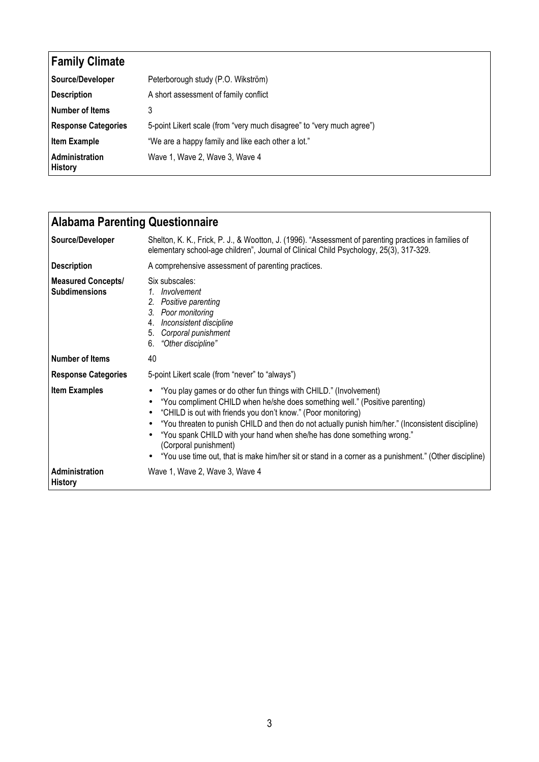| <b>Family Climate</b>            |                                                                       |
|----------------------------------|-----------------------------------------------------------------------|
| Source/Developer                 | Peterborough study (P.O. Wikström)                                    |
| <b>Description</b>               | A short assessment of family conflict                                 |
| Number of Items                  | 3                                                                     |
| <b>Response Categories</b>       | 5-point Likert scale (from "very much disagree" to "very much agree") |
| <b>Item Example</b>              | "We are a happy family and like each other a lot."                    |
| Administration<br><b>History</b> | Wave 1, Wave 2, Wave 3, Wave 4                                        |

| <b>Alabama Parenting Questionnaire</b>            |                                                                                                                                                                                                                                                                                                                                                                                                                                                                                                                                     |
|---------------------------------------------------|-------------------------------------------------------------------------------------------------------------------------------------------------------------------------------------------------------------------------------------------------------------------------------------------------------------------------------------------------------------------------------------------------------------------------------------------------------------------------------------------------------------------------------------|
| Source/Developer                                  | Shelton, K. K., Frick, P. J., & Wootton, J. (1996). "Assessment of parenting practices in families of<br>elementary school-age children", Journal of Clinical Child Psychology, 25(3), 317-329.                                                                                                                                                                                                                                                                                                                                     |
| <b>Description</b>                                | A comprehensive assessment of parenting practices.                                                                                                                                                                                                                                                                                                                                                                                                                                                                                  |
| <b>Measured Concepts/</b><br><b>Subdimensions</b> | Six subscales:<br>1. Involvement<br>2. Positive parenting<br>3. Poor monitoring<br>4. Inconsistent discipline<br>5. Corporal punishment<br>6. "Other discipline"                                                                                                                                                                                                                                                                                                                                                                    |
| <b>Number of Items</b>                            | 40                                                                                                                                                                                                                                                                                                                                                                                                                                                                                                                                  |
| <b>Response Categories</b>                        | 5-point Likert scale (from "never" to "always")                                                                                                                                                                                                                                                                                                                                                                                                                                                                                     |
| <b>Item Examples</b>                              | "You play games or do other fun things with CHILD." (Involvement)<br>"You compliment CHILD when he/she does something well." (Positive parenting)<br>"CHILD is out with friends you don't know." (Poor monitoring)<br>"You threaten to punish CHILD and then do not actually punish him/her." (Inconsistent discipline)<br>"You spank CHILD with your hand when she/he has done something wrong."<br>(Corporal punishment)<br>"You use time out, that is make him/her sit or stand in a corner as a punishment." (Other discipline) |
| Administration<br><b>History</b>                  | Wave 1, Wave 2, Wave 3, Wave 4                                                                                                                                                                                                                                                                                                                                                                                                                                                                                                      |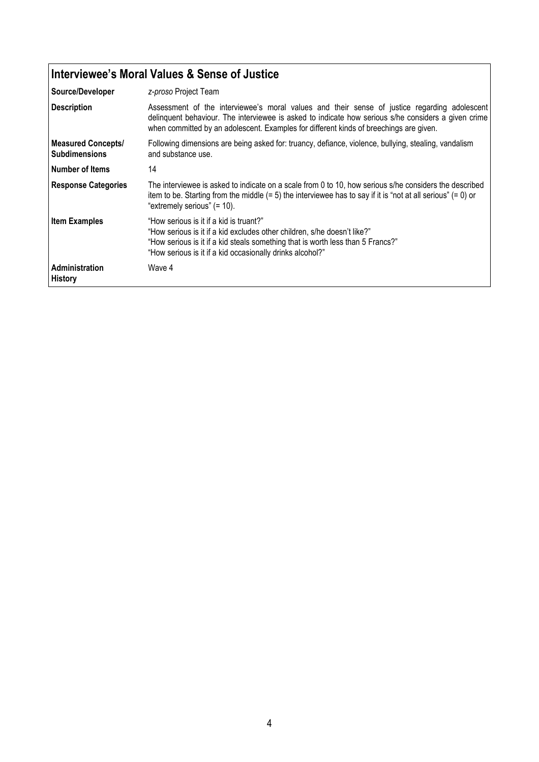## Interviewee's Moral Values & Sense of Justice

| Source/Developer                                  | z-proso Project Team                                                                                                                                                                                                                                                                          |
|---------------------------------------------------|-----------------------------------------------------------------------------------------------------------------------------------------------------------------------------------------------------------------------------------------------------------------------------------------------|
| <b>Description</b>                                | Assessment of the interviewee's moral values and their sense of justice regarding adolescent<br>delinguent behaviour. The interviewee is asked to indicate how serious s/he considers a given crime<br>when committed by an adolescent. Examples for different kinds of breechings are given. |
| <b>Measured Concepts/</b><br><b>Subdimensions</b> | Following dimensions are being asked for: truancy, defiance, violence, bullying, stealing, vandalism<br>and substance use.                                                                                                                                                                    |
| Number of Items                                   | 14                                                                                                                                                                                                                                                                                            |
| <b>Response Categories</b>                        | The interviewee is asked to indicate on a scale from 0 to 10, how serious s/he considers the described<br>item to be. Starting from the middle $(= 5)$ the interviewee has to say if it is "not at all serious" $(= 0)$ or<br>"extremely serious" (= 10).                                     |
| <b>Item Examples</b>                              | "How serious is it if a kid is truant?"<br>"How serious is it if a kid excludes other children, s/he doesn't like?"<br>"How serious is it if a kid steals something that is worth less than 5 Francs?"<br>"How serious is it if a kid occasionally drinks alcohol?"                           |
| Administration<br><b>History</b>                  | Wave 4                                                                                                                                                                                                                                                                                        |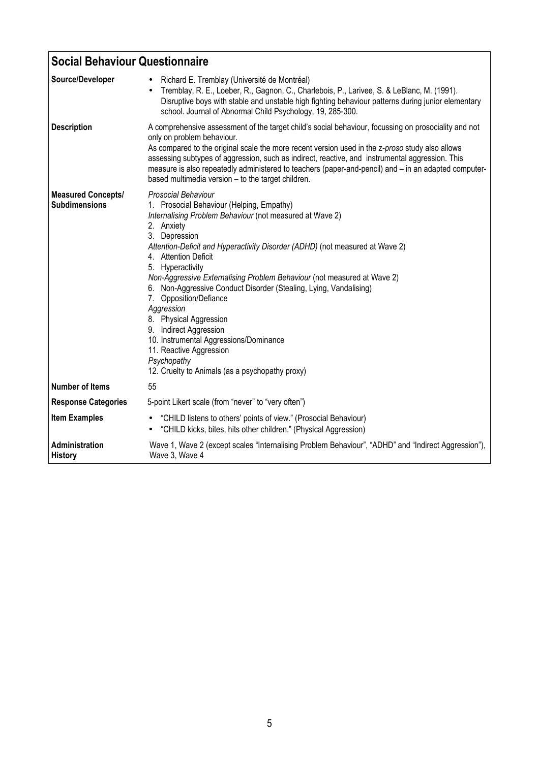| <b>Social Behaviour Questionnaire</b>             |                                                                                                                                                                                                                                                                                                                                                                                                                                                                                                                                                                                                                                                                            |
|---------------------------------------------------|----------------------------------------------------------------------------------------------------------------------------------------------------------------------------------------------------------------------------------------------------------------------------------------------------------------------------------------------------------------------------------------------------------------------------------------------------------------------------------------------------------------------------------------------------------------------------------------------------------------------------------------------------------------------------|
| Source/Developer                                  | Richard E. Tremblay (Université de Montréal)<br>Tremblay, R. E., Loeber, R., Gagnon, C., Charlebois, P., Larivee, S. & LeBlanc, M. (1991).<br>Disruptive boys with stable and unstable high fighting behaviour patterns during junior elementary<br>school. Journal of Abnormal Child Psychology, 19, 285-300.                                                                                                                                                                                                                                                                                                                                                             |
| <b>Description</b>                                | A comprehensive assessment of the target child's social behaviour, focussing on prosociality and not<br>only on problem behaviour.<br>As compared to the original scale the more recent version used in the z-proso study also allows<br>assessing subtypes of aggression, such as indirect, reactive, and instrumental aggression. This<br>measure is also repeatedly administered to teachers (paper-and-pencil) and - in an adapted computer-<br>based multimedia version - to the target children.                                                                                                                                                                     |
| <b>Measured Concepts/</b><br><b>Subdimensions</b> | Prosocial Behaviour<br>1. Prosocial Behaviour (Helping, Empathy)<br>Internalising Problem Behaviour (not measured at Wave 2)<br>2. Anxiety<br>3. Depression<br>Attention-Deficit and Hyperactivity Disorder (ADHD) (not measured at Wave 2)<br>4. Attention Deficit<br>5. Hyperactivity<br>Non-Aggressive Externalising Problem Behaviour (not measured at Wave 2)<br>6. Non-Aggressive Conduct Disorder (Stealing, Lying, Vandalising)<br>7. Opposition/Defiance<br>Aggression<br>8. Physical Aggression<br>9. Indirect Aggression<br>10. Instrumental Aggressions/Dominance<br>11. Reactive Aggression<br>Psychopathy<br>12. Cruelty to Animals (as a psychopathy proxy) |
| <b>Number of Items</b>                            | 55                                                                                                                                                                                                                                                                                                                                                                                                                                                                                                                                                                                                                                                                         |
| <b>Response Categories</b>                        | 5-point Likert scale (from "never" to "very often")                                                                                                                                                                                                                                                                                                                                                                                                                                                                                                                                                                                                                        |
| <b>Item Examples</b>                              | "CHILD listens to others' points of view." (Prosocial Behaviour)<br>"CHILD kicks, bites, hits other children." (Physical Aggression)                                                                                                                                                                                                                                                                                                                                                                                                                                                                                                                                       |
| Administration<br><b>History</b>                  | Wave 1, Wave 2 (except scales "Internalising Problem Behaviour", "ADHD" and "Indirect Aggression"),<br>Wave 3, Wave 4                                                                                                                                                                                                                                                                                                                                                                                                                                                                                                                                                      |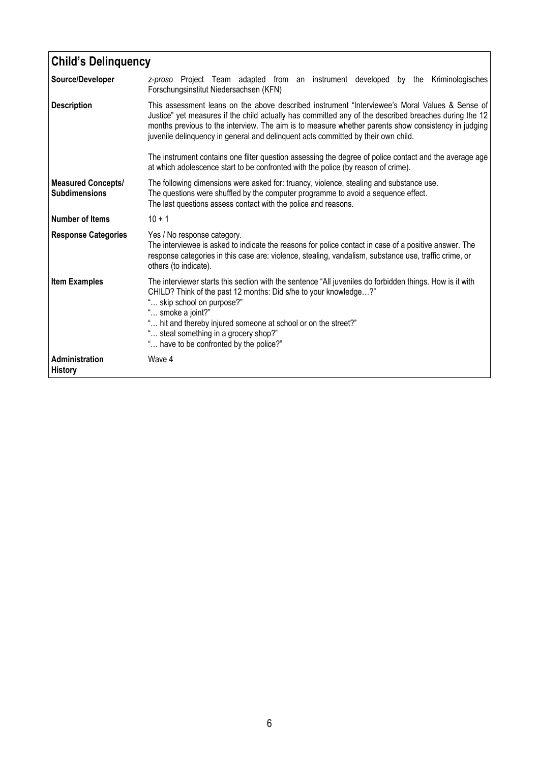| <b>Child's Delinquency</b>                        |                                                                                                                                                                                                                                                                                                                                                                                                     |
|---------------------------------------------------|-----------------------------------------------------------------------------------------------------------------------------------------------------------------------------------------------------------------------------------------------------------------------------------------------------------------------------------------------------------------------------------------------------|
| Source/Developer                                  | z-proso Project Team adapted from an instrument developed by the Kriminologisches<br>Forschungsinstitut Niedersachsen (KFN)                                                                                                                                                                                                                                                                         |
| <b>Description</b>                                | This assessment leans on the above described instrument "Interviewee's Moral Values & Sense of<br>Justice" yet measures if the child actually has committed any of the described breaches during the 12<br>months previous to the interview. The aim is to measure whether parents show consistency in judging<br>juvenile delinquency in general and delinquent acts committed by their own child. |
|                                                   | The instrument contains one filter question assessing the degree of police contact and the average age<br>at which adolescence start to be confronted with the police (by reason of crime).                                                                                                                                                                                                         |
| <b>Measured Concepts/</b><br><b>Subdimensions</b> | The following dimensions were asked for: truancy, violence, stealing and substance use.<br>The questions were shuffled by the computer programme to avoid a sequence effect.<br>The last questions assess contact with the police and reasons.                                                                                                                                                      |
| Number of Items                                   | $10 + 1$                                                                                                                                                                                                                                                                                                                                                                                            |
| <b>Response Categories</b>                        | Yes / No response category.<br>The interviewee is asked to indicate the reasons for police contact in case of a positive answer. The<br>response categories in this case are: violence, stealing, vandalism, substance use, traffic crime, or<br>others (to indicate).                                                                                                                              |
| <b>Item Examples</b>                              | The interviewer starts this section with the sentence "All juveniles do forbidden things. How is it with<br>CHILD? Think of the past 12 months: Did s/he to your knowledge?"<br>skip school on purpose?"<br>" smoke a joint?"<br>" hit and thereby injured someone at school or on the street?"<br>" steal something in a grocery shop?"<br>" have to be confronted by the police?"                 |
| Administration<br><b>History</b>                  | Wave 4                                                                                                                                                                                                                                                                                                                                                                                              |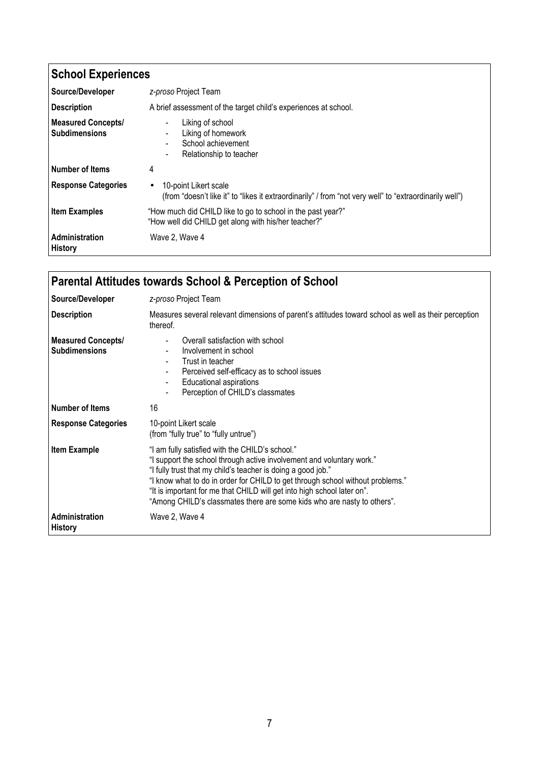| <b>School Experiences</b>                         |                                                                                                                                               |
|---------------------------------------------------|-----------------------------------------------------------------------------------------------------------------------------------------------|
| Source/Developer                                  | z-proso Project Team                                                                                                                          |
| <b>Description</b>                                | A brief assessment of the target child's experiences at school.                                                                               |
| <b>Measured Concepts/</b><br><b>Subdimensions</b> | Liking of school<br>Liking of homework<br>School achievement<br>Relationship to teacher                                                       |
| <b>Number of Items</b>                            | 4                                                                                                                                             |
| <b>Response Categories</b>                        | 10-point Likert scale<br>$\bullet$<br>(from "doesn't like it" to "likes it extraordinarily" / from "not very well" to "extraordinarily well") |
| <b>Item Examples</b>                              | "How much did CHILD like to go to school in the past year?"<br>"How well did CHILD get along with his/her teacher?"                           |
| Administration<br><b>History</b>                  | Wave 2, Wave 4                                                                                                                                |

| <b>Parental Attitudes towards School &amp; Perception of School</b> |                                                                                                                                                                                                                                                                                                                                                                                                                                  |
|---------------------------------------------------------------------|----------------------------------------------------------------------------------------------------------------------------------------------------------------------------------------------------------------------------------------------------------------------------------------------------------------------------------------------------------------------------------------------------------------------------------|
| Source/Developer                                                    | z-proso Project Team                                                                                                                                                                                                                                                                                                                                                                                                             |
| <b>Description</b>                                                  | Measures several relevant dimensions of parent's attitudes toward school as well as their perception<br>thereof.                                                                                                                                                                                                                                                                                                                 |
| <b>Measured Concepts/</b><br><b>Subdimensions</b>                   | Overall satisfaction with school<br>Involvement in school<br>Trust in teacher<br>Perceived self-efficacy as to school issues<br><b>Educational aspirations</b><br>Perception of CHILD's classmates                                                                                                                                                                                                                               |
| <b>Number of Items</b>                                              | 16                                                                                                                                                                                                                                                                                                                                                                                                                               |
| <b>Response Categories</b>                                          | 10-point Likert scale<br>(from "fully true" to "fully untrue")                                                                                                                                                                                                                                                                                                                                                                   |
| <b>Item Example</b>                                                 | "I am fully satisfied with the CHILD's school."<br>"I support the school through active involvement and voluntary work."<br>"I fully trust that my child's teacher is doing a good job."<br>"I know what to do in order for CHILD to get through school without problems."<br>"It is important for me that CHILD will get into high school later on".<br>"Among CHILD's classmates there are some kids who are nasty to others". |
| <b>Administration</b><br><b>History</b>                             | Wave 2, Wave 4                                                                                                                                                                                                                                                                                                                                                                                                                   |